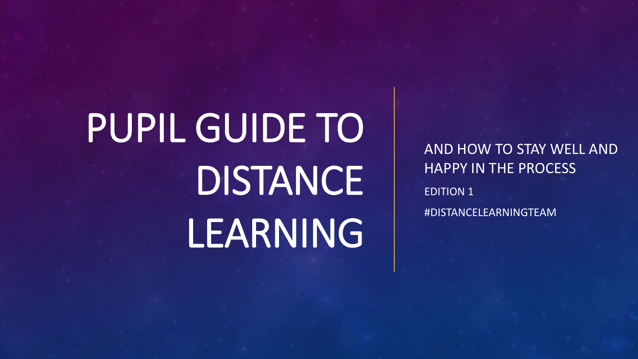# PUPIL GUIDE TO DISTANCE LEARNING

AND HOW TO STAY WELL AND HAPPY IN THE PROCESS EDITION 1 #DISTANCELEARNINGTEAM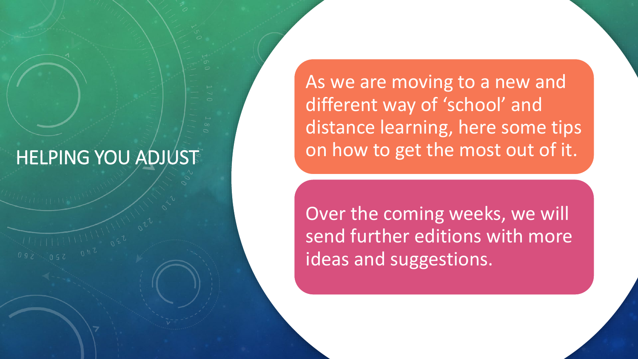### HELPING YOU ADJUST

As we are moving to a new and different way of 'school' and distance learning, here some tips on how to get the most out of it.

Over the coming weeks, we will send further editions with more ideas and suggestions.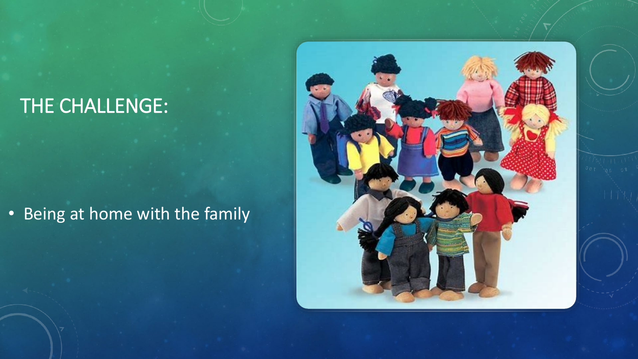# THE CHALLENGE:

#### • Being at home with the family

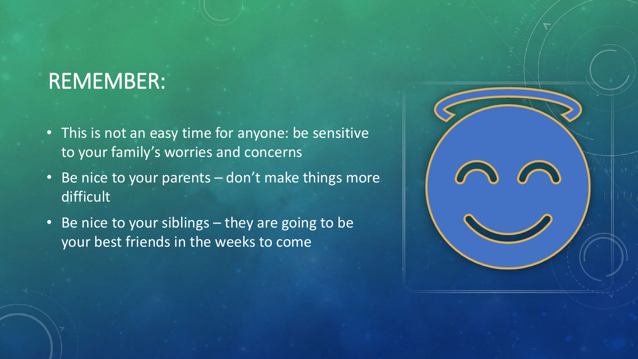# REMEMBER:

- This is not an easy time for anyone: be sensitive to your family's worries and concerns
- Be nice to your parents don't make things more difficult
- Be nice to your siblings they are going to be your best friends in the weeks to come

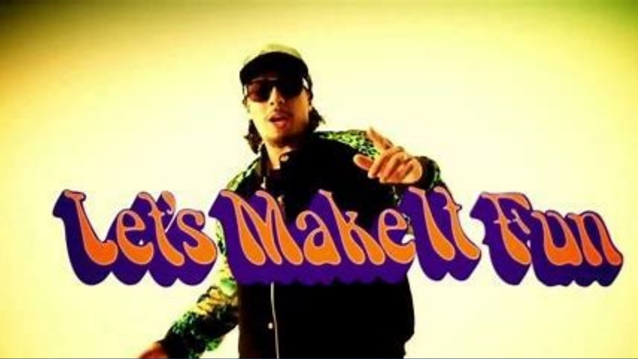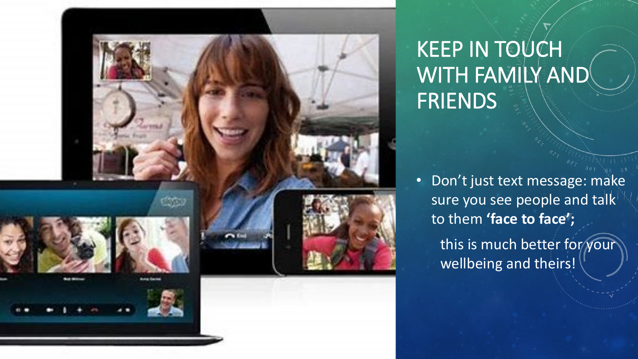

# KEEP IN TOUCH WITH FAMILY AND FRIENDS

• Don't just text message: make sure you see people and talk to them **'face to face';** 

> this is much better for your wellbeing and theirs!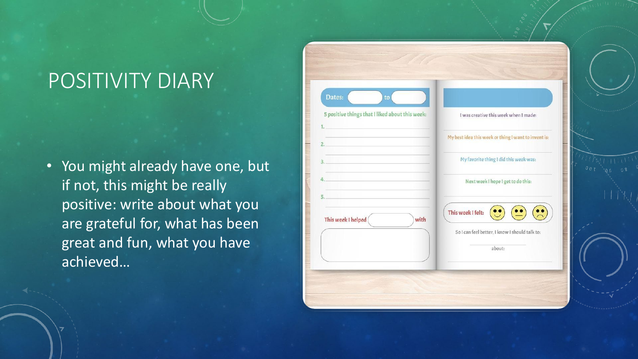# POSITIVITY DIARY

• You might already have one, but if not, this might be really positive: write about what you are grateful for, what has been great and fun, what you have achieved…

| I was creative this week when I made:                                         |
|-------------------------------------------------------------------------------|
|                                                                               |
| My best idea this week or thing I want to invent is:                          |
| My favorite thing I did this week was:                                        |
| Next week I hope I get to do this:                                            |
| This week I felt:<br>So I can feel better, I know I should talk to:<br>about: |
|                                                                               |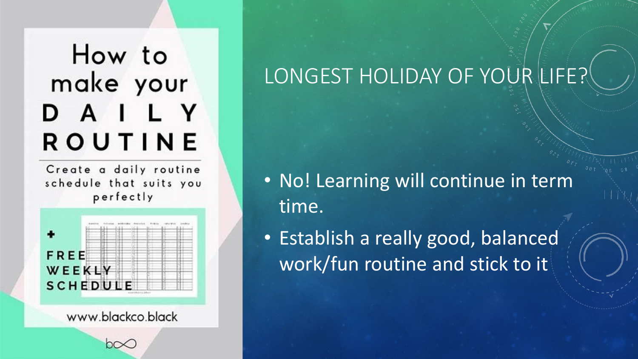# How to make your DAILY ROUTINE

Create a daily routine schedule that suits you perfectly



www.blackco.black

# LONGEST HOLIDAY OF YOUR LIFE?

• No! Learning will continue in term time.

• Establish a really good, balanced work/fun routine and stick to it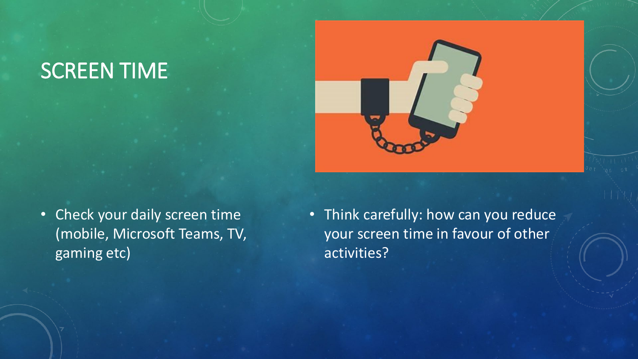# SCREEN TIME



• Check your daily screen time (mobile, Microsoft Teams, TV, gaming etc)

• Think carefully: how can you reduce your screen time in favour of other activities?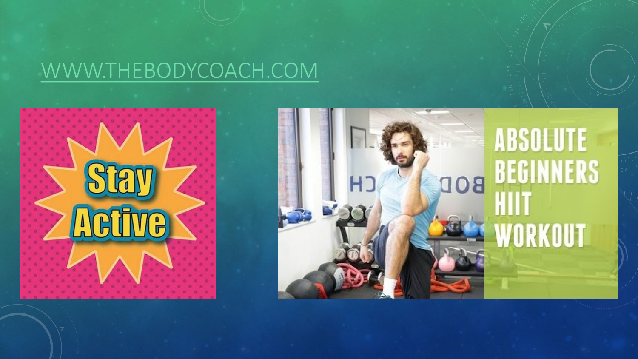## [WWW.THEBODYCOACH.COM](http://www.thebodycoach.com/)

# $\int_0^{\infty}$